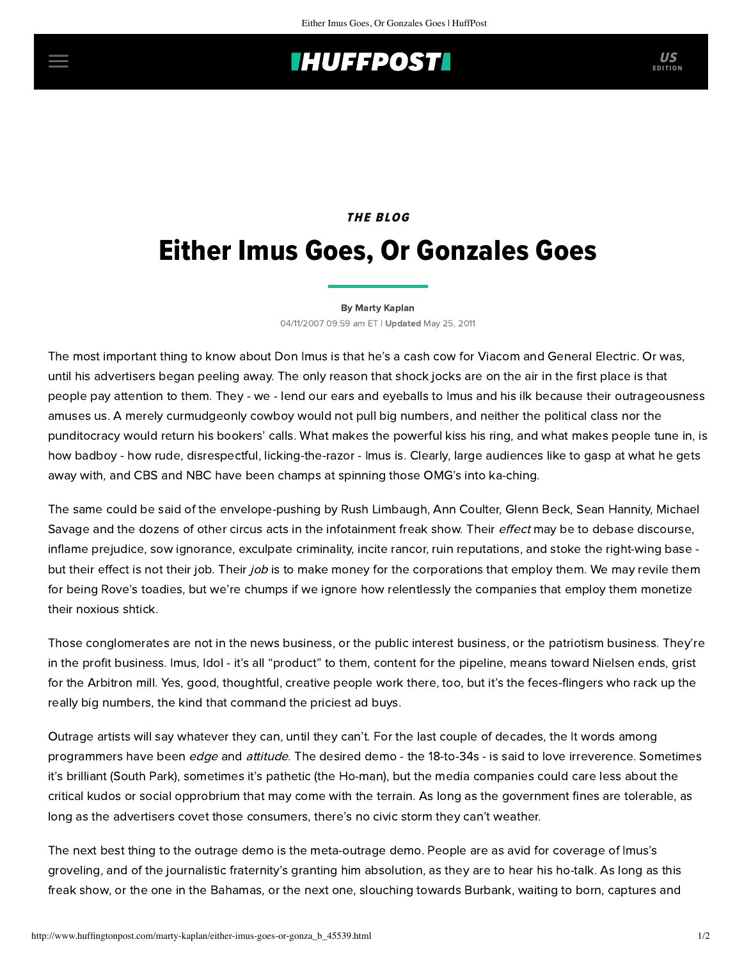## **IHUFFPOSTI** US

## THE BLOG

# Either Imus Goes, Or Gonzales Goes

#### [By Marty Kaplan](http://www.huffingtonpost.com/author/marty-kaplan)

04/11/2007 09:59 am ET | Updated May 25, 2011

The most important thing to know about Don Imus is that he's a cash cow for Viacom and General Electric. Or was, until his advertisers began peeling away. The only reason that shock jocks are on the air in the first place is that people pay attention to them. They - we - lend our ears and eyeballs to Imus and his ilk because their outrageousness amuses us. A merely curmudgeonly cowboy would not pull big numbers, and neither the political class nor the punditocracy would return his bookers' calls. What makes the powerful kiss his ring, and what makes people tune in, is how badboy - how rude, disrespectful, licking-the-razor - Imus is. Clearly, large audiences like to gasp at what he gets away with, and CBS and NBC have been champs at spinning those OMG's into ka-ching.

The same could be said of the envelope-pushing by Rush Limbaugh, Ann Coulter, Glenn Beck, Sean Hannity, Michael Savage and the dozens of other circus acts in the infotainment freak show. Their effect may be to debase discourse, inflame prejudice, sow ignorance, exculpate criminality, incite rancor, ruin reputations, and stoke the right-wing base but their effect is not their job. Their job is to make money for the corporations that employ them. We may revile them for being Rove's toadies, but we're chumps if we ignore how relentlessly the companies that employ them monetize their noxious shtick.

Those conglomerates are not in the news business, or the public interest business, or the patriotism business. They're in the profit business. Imus, Idol - it's all "product" to them, content for the pipeline, means toward Nielsen ends, grist for the Arbitron mill. Yes, good, thoughtful, creative people work there, too, but it's the feces-flingers who rack up the really big numbers, the kind that command the priciest ad buys.

Outrage artists will say whatever they can, until they can't. For the last couple of decades, the It words among programmers have been edge and attitude. The desired demo - the 18-to-34s - is said to love irreverence. Sometimes it's brilliant (South Park), sometimes it's pathetic (the Ho-man), but the media companies could care less about the critical kudos or social opprobrium that may come with the terrain. As long as the government fines are tolerable, as long as the advertisers covet those consumers, there's no civic storm they can't weather.

The next best thing to the outrage demo is the meta-outrage demo. People are as avid for coverage of Imus's groveling, and of the journalistic fraternity's granting him absolution, as they are to hear his ho-talk. As long as this freak show, or the one in the Bahamas, or the next one, slouching towards Burbank, waiting to born, captures and